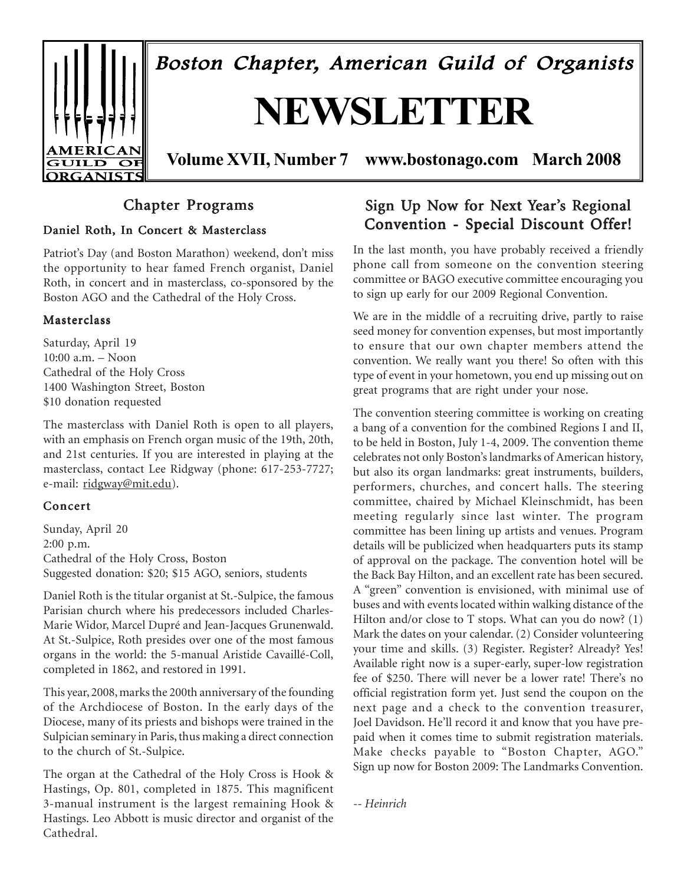

# Chapter Programs

### Daniel Roth, In Concert & Masterclass

Patriot's Day (and Boston Marathon) weekend, don't miss the opportunity to hear famed French organist, Daniel Roth, in concert and in masterclass, co-sponsored by the Boston AGO and the Cathedral of the Holy Cross.

### Masterclass

Saturday, April 19  $10:00$  a.m.  $-$  Noon Cathedral of the Holy Cross 1400 Washington Street, Boston \$10 donation requested

The masterclass with Daniel Roth is open to all players, with an emphasis on French organ music of the 19th, 20th, and 21st centuries. If you are interested in playing at the masterclass, contact Lee Ridgway (phone: 617-253-7727; e-mail: ridgway@mit.edu).

### Concert

Sunday, April 20 2:00 p.m. Cathedral of the Holy Cross, Boston Suggested donation: \$20; \$15 AGO, seniors, students

Daniel Roth is the titular organist at St.-Sulpice, the famous Parisian church where his predecessors included Charles-Marie Widor, Marcel Dupré and Jean-Jacques Grunenwald. At St.-Sulpice, Roth presides over one of the most famous organs in the world: the 5-manual Aristide Cavaillé-Coll, completed in 1862, and restored in 1991.

This year, 2008, marks the 200th anniversary of the founding of the Archdiocese of Boston. In the early days of the Diocese, many of its priests and bishops were trained in the Sulpician seminary in Paris, thus making a direct connection to the church of St.-Sulpice.

The organ at the Cathedral of the Holy Cross is Hook & Hastings, Op. 801, completed in 1875. This magnificent 3-manual instrument is the largest remaining Hook & Hastings. Leo Abbott is music director and organist of the Cathedral.

# Sign Up Now for Next Year's Regional Convention - Special Discount Offer!

In the last month, you have probably received a friendly phone call from someone on the convention steering committee or BAGO executive committee encouraging you to sign up early for our 2009 Regional Convention.

We are in the middle of a recruiting drive, partly to raise seed money for convention expenses, but most importantly to ensure that our own chapter members attend the convention. We really want you there! So often with this type of event in your hometown, you end up missing out on great programs that are right under your nose.

The convention steering committee is working on creating a bang of a convention for the combined Regions I and II, to be held in Boston, July 1-4, 2009. The convention theme celebrates not only Boston's landmarks of American history, but also its organ landmarks: great instruments, builders, performers, churches, and concert halls. The steering committee, chaired by Michael Kleinschmidt, has been meeting regularly since last winter. The program committee has been lining up artists and venues. Program details will be publicized when headquarters puts its stamp of approval on the package. The convention hotel will be the Back Bay Hilton, and an excellent rate has been secured. A "green" convention is envisioned, with minimal use of buses and with events located within walking distance of the Hilton and/or close to T stops. What can you do now? (1) Mark the dates on your calendar. (2) Consider volunteering your time and skills. (3) Register. Register? Already? Yes! Available right now is a super-early, super-low registration fee of \$250. There will never be a lower rate! There's no official registration form yet. Just send the coupon on the next page and a check to the convention treasurer, Joel Davidson. He'll record it and know that you have prepaid when it comes time to submit registration materials. Make checks payable to "Boston Chapter, AGO." Sign up now for Boston 2009: The Landmarks Convention.

*-- Heinrich*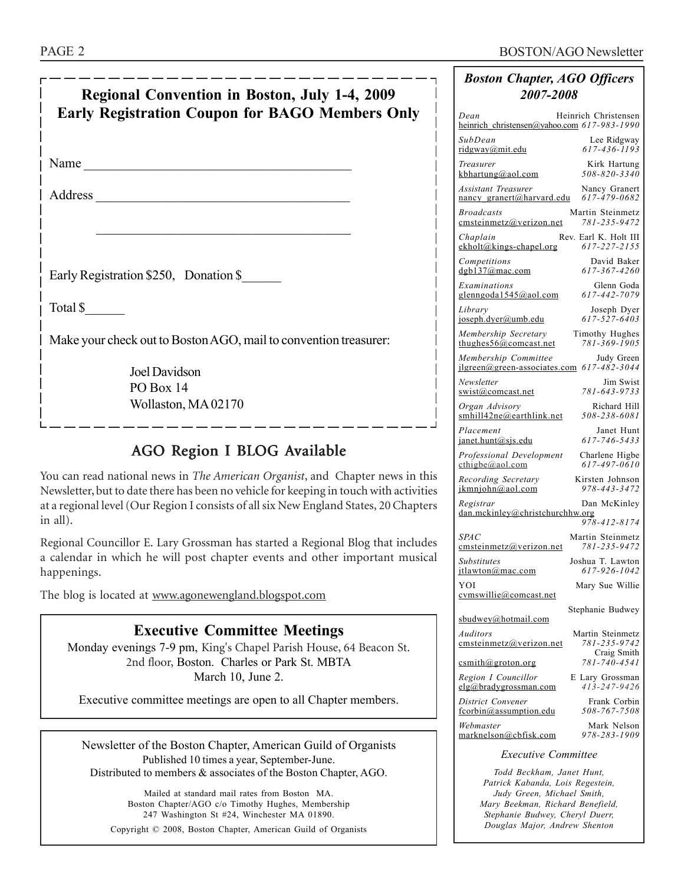| Regional Convention in Boston, July 1-4, 2009<br><b>Early Registration Coupon for BAGO Members Only</b> |  |  |  |  |  |  |
|---------------------------------------------------------------------------------------------------------|--|--|--|--|--|--|
| Name                                                                                                    |  |  |  |  |  |  |
|                                                                                                         |  |  |  |  |  |  |
|                                                                                                         |  |  |  |  |  |  |
| Early Registration \$250, Donation \$                                                                   |  |  |  |  |  |  |
| Total \$                                                                                                |  |  |  |  |  |  |
| Make your check out to Boston AGO, mail to convention treasurer:                                        |  |  |  |  |  |  |
| Joel Davidson                                                                                           |  |  |  |  |  |  |
| PO Box 14                                                                                               |  |  |  |  |  |  |
| Wollaston, MA 02170                                                                                     |  |  |  |  |  |  |
|                                                                                                         |  |  |  |  |  |  |

# AGO Region I BLOG Available

You can read national news in *The American Organist*, and Chapter news in this Newsletter, but to date there has been no vehicle for keeping in touch with activities at a regional level (Our Region I consists of all six New England States, 20 Chapters in all).

Regional Councillor E. Lary Grossman has started a Regional Blog that includes a calendar in which he will post chapter events and other important musical happenings.

The blog is located at www.agonewengland.blogspot.com

# **Executive Committee Meetings**

Monday evenings 7-9 pm, King's Chapel Parish House, 64 Beacon St. 2nd floor, Boston. Charles or Park St. MBTA March 10, June 2.

Executive committee meetings are open to all Chapter members.

Newsletter of the Boston Chapter, American Guild of Organists Published 10 times a year, September-June. Distributed to members & associates of the Boston Chapter, AGO.

Mailed at standard mail rates from Boston MA. Boston Chapter/AGO c/o Timothy Hughes, Membership 247 Washington St #24, Winchester MA 01890. Copyright © 2008, Boston Chapter, American Guild of Organists

# *Boston Chapter, AGO Officers 2007-2008*

| Dean<br>heinrich christensen@yahoo.com 617-983-1990               | Heinrich Christensen                            |
|-------------------------------------------------------------------|-------------------------------------------------|
| SubDean<br>ridgway@mit.edu                                        | Lee Ridgway<br>$617 - 436 - 1193$               |
| Treasurer<br>kbhartung@aol.com                                    | Kirk Hartung<br>508-820-3340                    |
| <b>Assistant Treasurer</b><br>nancy_granert@harvard.edu           | Nancy Granert<br>617-479-0682                   |
| <b>Broadcasts</b><br>emsteinmetz@verizon.net                      | Martin Steinmetz<br>781-235-9472                |
| Chaplain<br>ekholt@kings-chapel.org                               | Rev. Earl K. Holt III<br>617-227-2155           |
| Competitions<br>dgb137@mac.com                                    | David Baker<br>617-367-4260                     |
| Examinations<br>glenngoda1545@aol.com                             | Glenn Goda<br>617-442-7079                      |
| Library<br>joseph.dyer@umb.edu                                    | Joseph Dyer<br>617-527-6403                     |
| Membership Secretary<br>thughes $56@$ comcast.net                 | Timothy Hughes<br>781-369-1905                  |
| Membership Committee<br>jlgreen@green-associates.com 617-482-3044 | Judy Green                                      |
| Newsletter<br>swist@comcast.net                                   | Jim Swist<br>781-643-9733                       |
| Organ Advisory<br>smhill42ne@earthlink.net                        | Richard Hill<br>508-238-6081                    |
| Placement<br>janet.hunt@sjs.edu                                   | Janet Hunt<br>617-746-5433                      |
| Professional Development<br>$\text{cthigbe}(a)$ aol.com           | Charlene Higbe<br>617-497-0610                  |
| Recording Secretary<br>ikmniohn@aol.com                           | Kirsten Johnson<br>978-443-3472                 |
| Registrar<br>dan.mckinley@christchurchhw.org                      | Dan McKinley                                    |
| <b>SPAC</b>                                                       | 978-412-8174<br>Martin Steinmetz                |
| emsteinmetz@verizon.net<br><b>Substitutes</b>                     | 781-235-9472<br>Joshua T. Lawton                |
| itlawton@mac.com<br>YOI                                           | 617-926-1042<br>Mary Sue Willie                 |
| cymswillie@comcast.net                                            | Stephanie Budwey                                |
| sbudwey@hotmail.com                                               |                                                 |
| Auditors<br>emsteinmetz@verizon.net                               | Martin Steinmetz<br>781-235-9742<br>Craig Smith |
| $c$ smith@groton.org<br>Region I Councillor                       | 781-740-4541<br>E Lary Grossman                 |
| elg@bradygrossman.com<br>District Convener                        | 413-247-9426<br>Frank Corbin                    |
| fcorbin@assumption.edu<br>Webmaster                               | 508-767-7508<br>Mark Nelson                     |
| marknelson@cbfisk.com                                             | 978-283-1909                                    |
| <b>Executive Committee</b>                                        |                                                 |

*Todd Beckham, Janet Hunt, Patrick Kabanda, Lois Regestein, Judy Green, Michael Smith, Mary Beekman, Richard Benefield, Stephanie Budwey, Cheryl Duerr, Douglas Major, Andrew Shenton*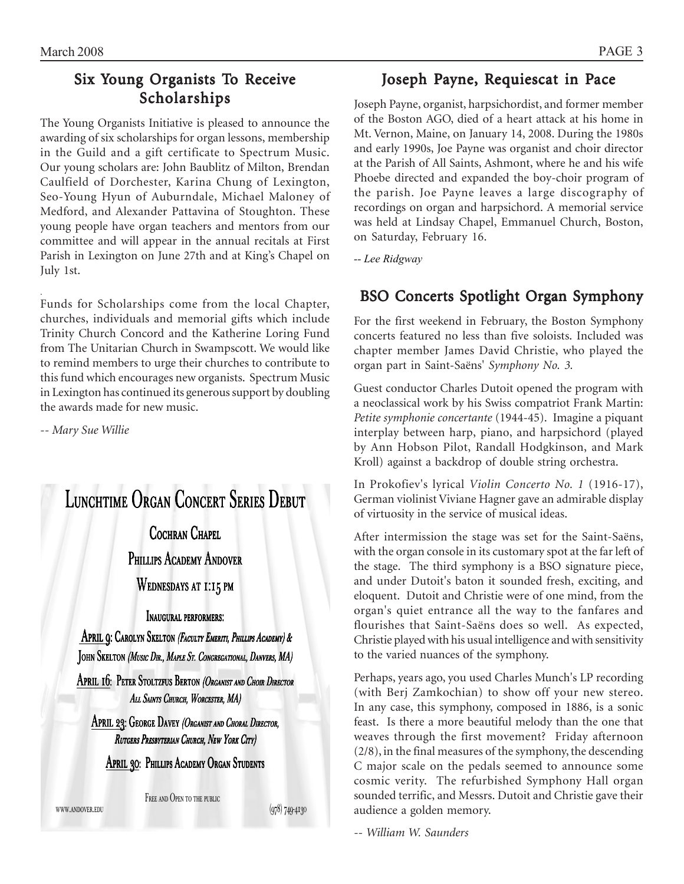# Six Young Organists To Receive Scholarships

The Young Organists Initiative is pleased to announce the awarding of six scholarships for organ lessons, membership in the Guild and a gift certificate to Spectrum Music. Our young scholars are: John Baublitz of Milton, Brendan Caulfield of Dorchester, Karina Chung of Lexington, Seo-Young Hyun of Auburndale, Michael Maloney of Medford, and Alexander Pattavina of Stoughton. These young people have organ teachers and mentors from our committee and will appear in the annual recitals at First Parish in Lexington on June 27th and at King's Chapel on July 1st.

Funds for Scholarships come from the local Chapter, churches, individuals and memorial gifts which include Trinity Church Concord and the Katherine Loring Fund from The Unitarian Church in Swampscott. We would like to remind members to urge their churches to contribute to this fund which encourages new organists. Spectrum Music in Lexington has continued its generous support by doubling the awards made for new music.

*-- Mary Sue Willie*

.



www.andover.edu

FREE AND OPEN TO THE PUBLIC

(978) 749-4130

# Joseph Payne, Requiescat in Pace

Joseph Payne, organist, harpsichordist, and former member of the Boston AGO, died of a heart attack at his home in Mt. Vernon, Maine, on January 14, 2008. During the 1980s and early 1990s, Joe Payne was organist and choir director at the Parish of All Saints, Ashmont, where he and his wife Phoebe directed and expanded the boy-choir program of the parish. Joe Payne leaves a large discography of recordings on organ and harpsichord. A memorial service was held at Lindsay Chapel, Emmanuel Church, Boston, on Saturday, February 16.

*-- Lee Ridgway*

# BSO Concerts Spotlight Organ Symphony

For the first weekend in February, the Boston Symphony concerts featured no less than five soloists. Included was chapter member James David Christie, who played the organ part in Saint-Saëns' *Symphony No. 3.* 

Guest conductor Charles Dutoit opened the program with a neoclassical work by his Swiss compatriot Frank Martin: *Petite symphonie concertante* (1944-45). Imagine a piquant interplay between harp, piano, and harpsichord (played by Ann Hobson Pilot, Randall Hodgkinson, and Mark Kroll) against a backdrop of double string orchestra.

In Prokofiev's lyrical *Violin Concerto No. 1* (1916-17), German violinist Viviane Hagner gave an admirable display of virtuosity in the service of musical ideas.

After intermission the stage was set for the Saint-Saëns, with the organ console in its customary spot at the far left of the stage. The third symphony is a BSO signature piece, and under Dutoit's baton it sounded fresh, exciting, and eloquent. Dutoit and Christie were of one mind, from the organ's quiet entrance all the way to the fanfares and flourishes that Saint-Saëns does so well. As expected, Christie played with his usual intelligence and with sensitivity to the varied nuances of the symphony.

Perhaps, years ago, you used Charles Munch's LP recording (with Berj Zamkochian) to show off your new stereo. In any case, this symphony, composed in 1886, is a sonic feast. Is there a more beautiful melody than the one that weaves through the first movement? Friday afternoon (2/8), in the final measures of the symphony, the descending C major scale on the pedals seemed to announce some cosmic verity. The refurbished Symphony Hall organ sounded terrific, and Messrs. Dutoit and Christie gave their audience a golden memory.

*-- William W. Saunders*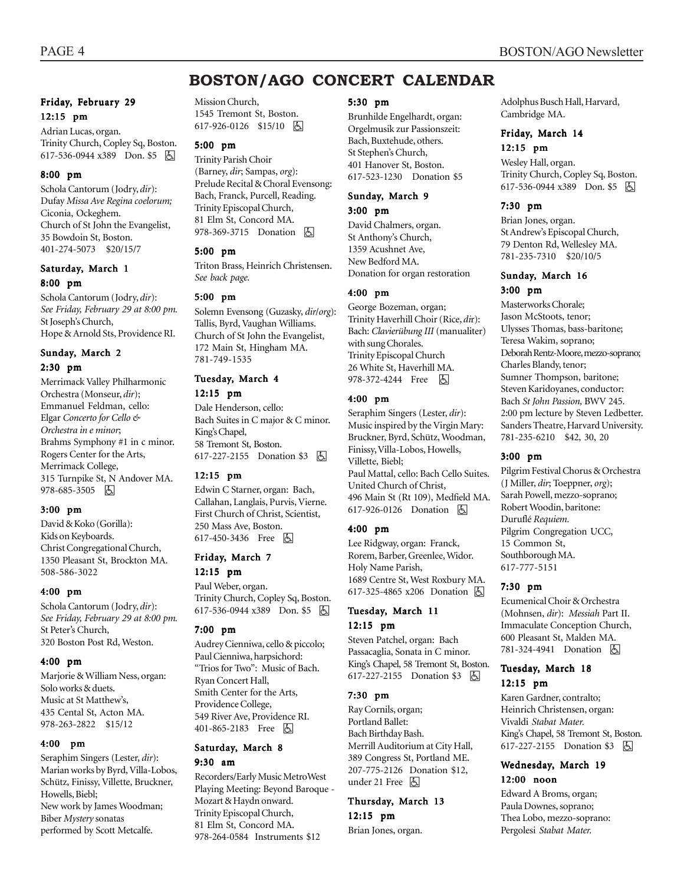# **BOSTON/AGO CONCERT CALENDAR**

### Friday, February 29 12:15 pm

Adrian Lucas, organ. Trinity Church, Copley Sq, Boston. 617-536-0944 x389 Don. \$5 因

#### 8:00 pm

Schola Cantorum (Jodry, *dir*): Dufay *Missa Ave Regina coelorum;* Ciconia, Ockeghem. Church of St John the Evangelist, 35 Bowdoin St, Boston. 401-274-5073 \$20/15/7

#### Saturday, March 1 8:00 pm

Schola Cantorum (Jodry, *dir*): *See Friday, February 29 at 8:00 pm.* St Joseph's Church, Hope & Arnold Sts, Providence RI.

#### Sunday, March 2 2:30 pm

Merrimack Valley Philharmonic Orchestra (Monseur, *dir*); Emmanuel Feldman, cello: Elgar *Concerto for Cello & Orchestra in e minor*; Brahms Symphony #1 in c minor. Rogers Center for the Arts, Merrimack College, 315 Turnpike St, N Andover MA. 978-685-3505 因

#### 3:00 pm

David & Koko (Gorilla): Kids on Keyboards. Christ Congregational Church, 1350 Pleasant St, Brockton MA. 508-586-3022

#### 4:00 pm

Schola Cantorum (Jodry, *dir*): *See Friday, February 29 at 8:00 pm.* St Peter's Church, 320 Boston Post Rd, Weston.

#### 4:00 pm

Marjorie & William Ness, organ: Solo works & duets. Music at St Matthew's, 435 Cental St, Acton MA. 978-263-2822 \$15/12

#### 4:00 pm

Seraphim Singers (Lester, *dir*): Marian works by Byrd, Villa-Lobos, Schütz, Finissy, Villette, Bruckner, Howells, Biebl; New work by James Woodman; Biber *Mystery* sonatas performed by Scott Metcalfe.

Mission Church, 1545 Tremont St, Boston. 617-926-0126 \$15/10 因

# 5:00 pm

Trinity Parish Choir (Barney, *dir*; Sampas, *org*): Prelude Recital & Choral Evensong: Bach, Franck, Purcell, Reading. Trinity Episcopal Church, 81 Elm St, Concord MA. 978-369-3715 Donation **b** 

#### 5:00 pm

Triton Brass, Heinrich Christensen. *See back page.*

#### 5:00 pm

Solemn Evensong (Guzasky, *dir*/*org*): Tallis, Byrd, Vaughan Williams. Church of St John the Evangelist, 172 Main St, Hingham MA. 781-749-1535

### Tuesday, March 4

#### 12:15 pm

Dale Henderson, cello: Bach Suites in C major & C minor. King's Chapel, 58 Tremont St, Boston. 617-227-2155 Donation \$3 | A

#### 12:15 pm

Edwin C Starner, organ: Bach, Callahan, Langlais, Purvis, Vierne. First Church of Christ, Scientist, 250 Mass Ave, Boston. 617-450-3436 Free **b** 

### Friday, March 7

12:15 pm

Paul Weber, organ. Trinity Church, Copley Sq, Boston. 617-536-0944 x389 Don. \$5 | A

#### 7:00 pm

Audrey Cienniwa, cello & piccolo; Paul Cienniwa, harpsichord: "Trios for Two": Music of Bach. Ryan Concert Hall, Smith Center for the Arts, Providence College, 549 River Ave, Providence RI. 401-865-2183 Free **b** 

#### Saturday, March 8 9:30 am

Recorders/Early Music MetroWest Playing Meeting: Beyond Baroque - Mozart & Haydn onward. Trinity Episcopal Church, 81 Elm St, Concord MA. 978-264-0584 Instruments \$12

#### 5:30 pm

Brunhilde Engelhardt, organ: Orgelmusik zur Passionszeit: Bach, Buxtehude, others. St Stephen's Church, 401 Hanover St, Boston. 617-523-1230 Donation \$5

# Sunday, March 9

3:00 pm

David Chalmers, organ. St Anthony's Church, 1359 Acushnet Ave, New Bedford MA. Donation for organ restoration

#### 4:00 pm

George Bozeman, organ; Trinity Haverhill Choir (Rice, *di*r): Bach: Clavierübung III (manualiter) with sung Chorales. Trinity Episcopal Church 26 White St, Haverhill MA. 978-372-4244 Free 因

#### 4:00 pm

Seraphim Singers (Lester, *dir*): Music inspired by the Virgin Mary: Bruckner, Byrd, Schütz, Woodman, Finissy, Villa-Lobos, Howells, Villette, Biebl; Paul Mattal, cello: Bach Cello Suites. United Church of Christ, 496 Main St (Rt 109), Medfield MA. 617-926-0126 Donation **A** 

#### 4:00 pm

Lee Ridgway, organ: Franck, Rorem, Barber, Greenlee, Widor. Holy Name Parish, 1689 Centre St, West Roxbury MA. 617-325-4865 x206 Donation **b** 

#### Tuesday, March 11 12:15 pm

Steven Patchel, organ: Bach Passacaglia, Sonata in C minor. King's Chapel, 58 Tremont St, Boston. 617-227-2155 Donation \$3 h

#### 7:30 pm

Ray Cornils, organ; Portland Ballet: Bach Birthday Bash. Merrill Auditorium at City Hall, 389 Congress St, Portland ME. 207-775-2126 Donation \$12, under 21 Free 因

Thursday, March 13 12:15 pm Brian Jones, organ.

Adolphus Busch Hall, Harvard, Cambridge MA.

#### Friday, March 14 12:15 pm

Wesley Hall, organ. Trinity Church, Copley Sq, Boston. 617-536-0944 x389 Don. \$5 | A

#### 7:30 pm

Brian Jones, organ. St Andrew's Episcopal Church, 79 Denton Rd, Wellesley MA. 781-235-7310 \$20/10/5

### Sunday, March 16 3:00 pm

Masterworks Chorale; Jason McStoots, tenor; Ulysses Thomas, bass-baritone; Teresa Wakim, soprano; Deborah Rentz-Moore, mezzo-soprano; Charles Blandy, tenor; Sumner Thompson, baritone; Steven Karidoyanes, conductor: Bach *St John Passion,* BWV 245. 2:00 pm lecture by Steven Ledbetter. Sanders Theatre, Harvard University. 781-235-6210 \$42, 30, 20

#### 3:00 pm

Pilgrim Festival Chorus & Orchestra (J Miller, *dir*; Toeppner, *org*); Sarah Powell, mezzo-soprano; Robert Woodin, baritone: DuruflÈ *Requiem.* Pilgrim Congregation UCC, 15 Common St, Southborough MA. 617-777-5151

#### 7:30 pm

Ecumenical Choir & Orchestra (Mohnsen, *dir*): *Messiah* Part II. Immaculate Conception Church, 600 Pleasant St, Malden MA. 781-324-4941 Donation  $\boxed{6}$ 

#### Tuesday, March 18 12:15 pm

Karen Gardner, contralto; Heinrich Christensen, organ: Vivaldi *Stabat Mater.* Kingís Chapel, 58 Tremont St, Boston. 617-227-2155 Donation \$3 固

#### Wednesday, March 19 12:00 noon

Edward A Broms, organ; Paula Downes, soprano; Thea Lobo, mezzo-soprano: Pergolesi *Stabat Mater.*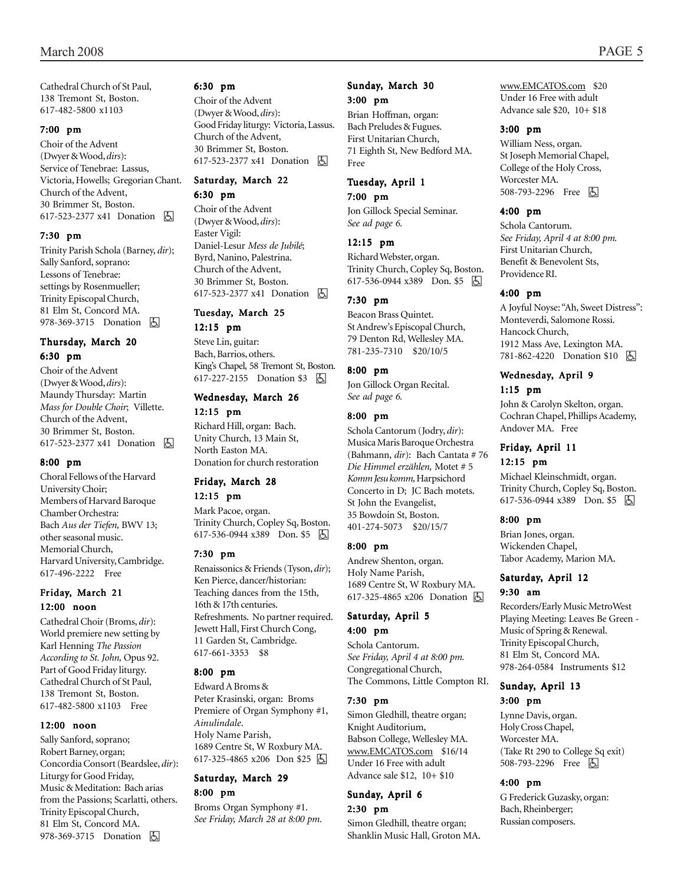Cathedral Church of St Paul, 138 Tremont St, Boston. 617-482-5800 x1103

#### 7:00 pm

Choir of the Advent (Dwyer & Wood, *dirs*): Service of Tenebrae: Lassus, Victoria, Howells; Gregorian Chant. Church of the Advent, 30 Brimmer St, Boston. 617-523-2377 x41 Donation **b** 

#### 7:30 pm

Trinity Parish Schola (Barney, *dir*); Sally Sanford, soprano: Lessons of Tenebrae: settings by Rosenmueller; Trinity Episcopal Church, 81 Elm St, Concord MA. 978-369-3715 Donation **b** 

#### Thursday, March 20 6:30 pm

Choir of the Advent (Dwyer & Wood, *dirs*): Maundy Thursday: Martin *Mass for Double Choir*; Villette. Church of the Advent, 30 Brimmer St, Boston. 617-523-2377 x41 Donation **b** 

#### 8:00 pm

Choral Fellows of the Harvard University Choir; Members of Harvard Baroque Chamber Orchestra: Bach *Aus der Tiefen,* BWV 13; other seasonal music. Memorial Church, Harvard University, Cambridge. 617-496-2222 Free

#### Friday, March 21 12:00 noon

Cathedral Choir (Broms, *dir*): World premiere new setting by Karl Henning *The Passion According to St. John,* Opus 92. Part of Good Friday liturgy. Cathedral Church of St Paul, 138 Tremont St, Boston. 617-482-5800 x1103 Free

#### 12:00 noon

Sally Sanford, soprano; Robert Barney, organ; Concordia Consort (Beardslee, *dir*): Liturgy for Good Friday, Music & Meditation: Bach arias from the Passions; Scarlatti, others. Trinity Episcopal Church, 81 Elm St, Concord MA. 978-369-3715 Donation **b** 

#### 6:30 pm

Choir of the Advent (Dwyer & Wood, *dirs*): Good Friday liturgy: Victoria, Lassus. Church of the Advent, 30 Brimmer St, Boston. 617-523-2377 x41 Donation **囚** 

# Saturday, March 22

6:30 pm

Choir of the Advent (Dwyer & Wood, *dirs*): Easter Vigil: Daniel-Lesur *Mess de JubilÈ*; Byrd, Nanino, Palestrina. Church of the Advent, 30 Brimmer St, Boston. 617-523-2377 x41 Donation **b** 

### Tuesday, March 25

12:15 pm Steve Lin, guitar: Bach, Barrios, others. Kingís Chapel, 58 Tremont St, Boston. 617-227-2155 Donation \$3 | A

#### Wednesday, March 26

12:15 pm Richard Hill, organ: Bach. Unity Church, 13 Main St, North Easton MA. Donation for church restoration

# Friday, March 28

## 12:15 pm

Mark Pacoe, organ. Trinity Church, Copley Sq, Boston. 617-536-0944 x389 Don. \$5 &

#### 7:30 pm

Renaissonics & Friends (Tyson, *dir*); Ken Pierce, dancer/historian: Teaching dances from the 15th, 16th & 17th centuries. Refreshments. No partner required. Jewett Hall, First Church Cong, 11 Garden St, Cambridge. 617-661-3353 \$8

#### 8:00 pm

Edward A Broms & Peter Krasinski, organ: Broms Premiere of Organ Symphony #1, *Ainulindale*. Holy Name Parish, 1689 Centre St, W Roxbury MA. 617-325-4865 x206 Don \$25 |5

### Saturday, March 29

#### 8:00 pm

Broms Organ Symphony #1. *See Friday, March 28 at 8:00 pm.*

#### Sunday, March 30 3:00 pm

Brian Hoffman, organ: Bach Preludes & Fugues. First Unitarian Church, 71 Eighth St, New Bedford MA. Free

### Tuesday, April 1

7:00 pm Jon Gillock Special Seminar.

*See ad page 6.*

#### 12:15 pm

Richard Webster, organ. Trinity Church, Copley Sq, Boston. 617-536-0944 x389 Don. \$5

#### 7:30 pm

Beacon Brass Quintet. St Andrew's Episcopal Church, 79 Denton Rd, Wellesley MA. 781-235-7310 \$20/10/5

#### 8:00 pm

Jon Gillock Organ Recital. *See ad page 6.*

#### 8:00 pm

Schola Cantorum (Jodry, *dir*): Musica Maris Baroque Orchestra (Bahmann, *dir*): Bach Cantata # 76 *Die Himmel erz‰hlen,* Motet # 5 *Komm Jesu komm,* Harpsichord Concerto in D; JC Bach motets. St John the Evangelist, 35 Bowdoin St, Boston. 401-274-5073 \$20/15/7

#### 8:00 pm

Andrew Shenton, organ. Holy Name Parish, 1689 Centre St, W Roxbury MA. 617-325-4865 x206 Donation **b** 

#### Saturday, April 5 4:00 pm

Schola Cantorum. *See Friday, April 4 at 8:00 pm.* Congregational Church, The Commons, Little Compton RI.

#### 7:30 pm

Simon Gledhill, theatre organ; Knight Auditorium, Babson College, Wellesley MA. www.EMCATOS.com \$16/14 Under 16 Free with adult Advance sale \$12, 10+ \$10

#### Sunday, April 6 2:30 pm

Simon Gledhill, theatre organ; Shanklin Music Hall, Groton MA. www.EMCATOS.com \$20 Under 16 Free with adult Advance sale \$20, 10+ \$18

#### 3:00 pm

William Ness, organ. St Joseph Memorial Chapel, College of the Holy Cross, Worcester MA. 508-793-2296 Free 因

#### 4:00 pm

Schola Cantorum. *See Friday, April 4 at 8:00 pm.* First Unitarian Church, Benefit & Benevolent Sts, Providence RI.

#### 4:00 pm

A Joyful Noyse: "Ah, Sweet Distress": Monteverdi, Salomone Rossi. Hancock Church, 1912 Mass Ave, Lexington MA. 781-862-4220 Donation \$10 **b** 

#### Wednesday, April 9 1:15 pm

John & Carolyn Skelton, organ. Cochran Chapel, Phillips Academy, Andover MA. Free

### Friday, April 11

#### 12:15 pm

Michael Kleinschmidt, organ. Trinity Church, Copley Sq, Boston. 617-536-0944 x389 Don. \$5 | A

#### 8:00 pm

Brian Jones, organ. Wickenden Chapel, Tabor Academy, Marion MA.

### Saturday, April 12 9:30 am

Recorders/Early Music MetroWest Playing Meeting: Leaves Be Green - Music of Spring & Renewal. Trinity Episcopal Church, 81 Elm St, Concord MA. 978-264-0584 Instruments \$12

# Sunday, April 13

3:00 pm

Lynne Davis, organ. Holy Cross Chapel, Worcester MA. (Take Rt 290 to College Sq exit) 508-793-2296 Free 因

#### 4:00 pm

G Frederick Guzasky, organ: Bach, Rheinberger; Russian composers.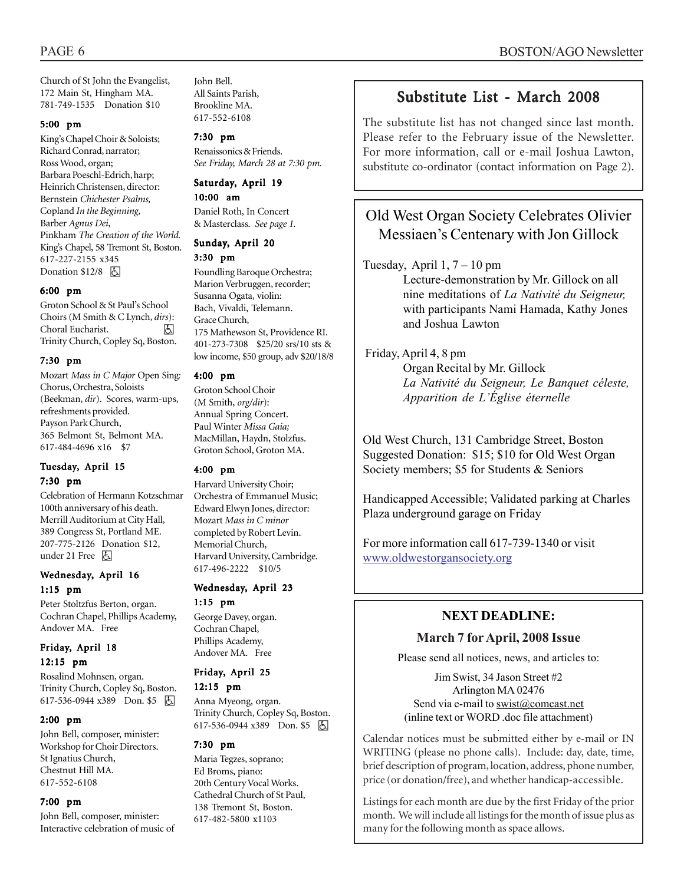Church of St John the Evangelist, 172 Main St, Hingham MA. 781-749-1535 Donation \$10

#### 5:00 pm

King's Chapel Choir & Soloists; Richard Conrad, narrator; Ross Wood, organ; Barbara Poeschl-Edrich, harp; Heinrich Christensen, director: Bernstein *Chichester Psalms,* Copland *In the Beginning,* Barber *Agnus Dei*, Pinkham *The Creation of the World.* Kingís Chapel, 58 Tremont St, Boston. 617-227-2155 x345 Donation  $$12/8$   $\Box$ 

#### 6:00 pm

Groton School & St Paulís School Choirs (M Smith & C Lynch, *dirs*): Choral Eucharist. h Trinity Church, Copley Sq, Boston.

#### 7:30 pm

Mozart *Mass in C Major* Open Sing*:* Chorus, Orchestra, Soloists (Beekman, *dir*). Scores, warm-ups, refreshments provided. Payson Park Church, 365 Belmont St, Belmont MA. 617-484-4696 x16 \$7

#### Tuesday, April 15 7:30 pm

Celebration of Hermann Kotzschmar 100th anniversary of his death. Merrill Auditorium at City Hall, 389 Congress St, Portland ME. 207-775-2126 Donation \$12, under 21 Free  $\boxed{6}$ 

#### Wednesday, April 16 1:15 pm

Peter Stoltzfus Berton, organ. Cochran Chapel, Phillips Academy, Andover MA. Free

### Friday, April 18 12:15 pm

Rosalind Mohnsen, organ. Trinity Church, Copley Sq, Boston. 617-536-0944 x389 Don. \$5

#### 2:00 pm

John Bell, composer, minister: Workshop for Choir Directors. St Ignatius Church, Chestnut Hill MA. 617-552-6108

#### 7:00 pm

John Bell, composer, minister: Interactive celebration of music of John Bell. All Saints Parish, Brookline MA. 617-552-6108

#### 7:30 pm

Renaissonics & Friends. *See Friday, March 28 at 7:30 pm.*

#### Saturday, April 19 10:00 am

Daniel Roth, In Concert & Masterclass. *See page 1.*

# Sunday, April 20

3:30 pm

Foundling Baroque Orchestra; Marion Verbruggen, recorder; Susanna Ogata, violin: Bach, Vivaldi, Telemann. Grace Church, 175 Mathewson St, Providence RI. 401-273-7308 \$25/20 srs/10 sts & low income, \$50 group, adv \$20/18/8

#### 4:00 pm

Groton School Choir (M Smith, *org/dir*): Annual Spring Concert. Paul Winter *Missa Gaia;* MacMillan, Haydn, Stolzfus. Groton School, Groton MA.

#### 4:00 pm

Harvard University Choir; Orchestra of Emmanuel Music; Edward Elwyn Jones, director: Mozart *Mass in C minor* completed by Robert Levin. Memorial Church, Harvard University, Cambridge. 617-496-2222 \$10/5

### Wednesday, April 23 1:15 pm

George Davey, organ. Cochran Chapel, Phillips Academy, Andover MA. Free

#### Friday, April 25

#### 12:15 pm

Anna Myeong, organ. Trinity Church, Copley Sq, Boston.  $617-536-0944$   $x389$  Don. \$5 [5]

#### 7:30 pm

Maria Tegzes, soprano; Ed Broms, piano: 20th Century Vocal Works. Cathedral Church of St Paul, 138 Tremont St, Boston. 617-482-5800 x1103

# Substitute List - March 2008

The substitute list has not changed since last month. Please refer to the February issue of the Newsletter. For more information, call or e-mail Joshua Lawton, substitute co-ordinator (contact information on Page 2).

# Old West Organ Society Celebrates Olivier Messiaen's Centenary with Jon Gillock

### Tuesday, April  $1, 7 - 10$  pm

Lecture-demonstration by Mr. Gillock on all nine meditations of *La NativitÈ du Seigneur,* with participants Nami Hamada, Kathy Jones and Joshua Lawton

### Friday, April 4, 8 pm

Organ Recital by Mr. Gillock *La NativitÈ du Seigneur, Le Banquet cÈleste, Apparition de L'Église éternelle* 

Old West Church, 131 Cambridge Street, Boston Suggested Donation: \$15; \$10 for Old West Organ Society members; \$5 for Students & Seniors

Handicapped Accessible; Validated parking at Charles Plaza underground garage on Friday

For more information call 617-739-1340 or visit www.oldwestorgansociety.org

# **NEXT DEADLINE:**

### **March 7 for April, 2008 Issue**

Please send all notices, news, and articles to:

Jim Swist, 34 Jason Street #2 Arlington MA 02476 Send via e-mail to swist@comcast.net (inline text or WORD .doc file attachment)

. Calendar notices must be submitted either by e-mail or IN WRITING (please no phone calls). Include: day, date, time, brief description of program, location, address, phone number, price (or donation/free), and whether handicap-accessible.

Listings for each month are due by the first Friday of the prior month. We will include all listings for the month of issue plus as many for the following month as space allows.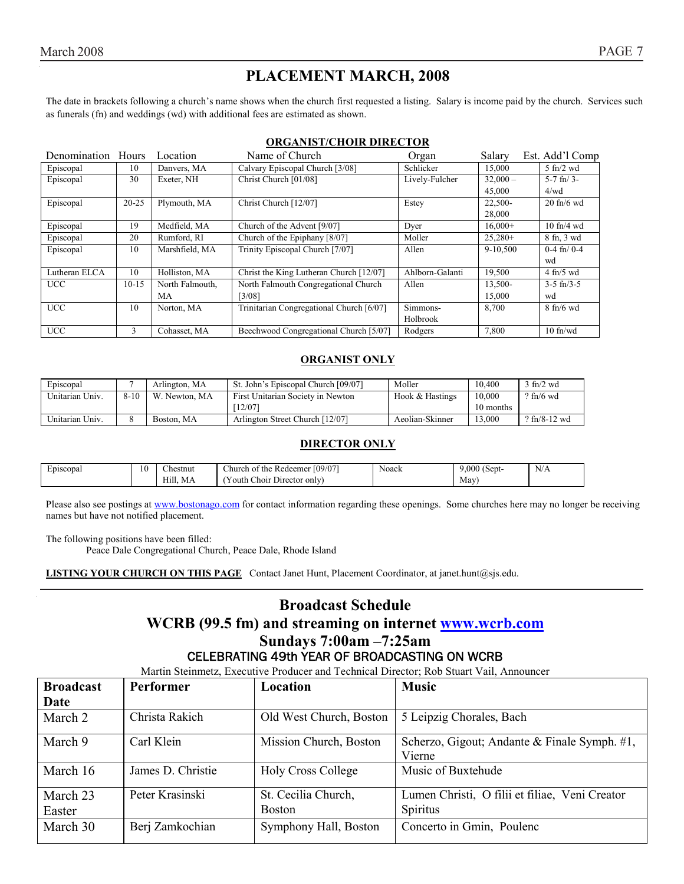# **PLACEMENT MARCH, 2008**

The date in brackets following a church's name shows when the church first requested a listing. Salary is income paid by the church. Services such as funerals (fn) and weddings (wd) with additional fees are estimated as shown.

### **ORGANIST/CHOIR DIRECTOR**

| Denomination Hours |           | Location        | Name of Church                           | Organ           | Salary     | Est. Add'l Comp             |
|--------------------|-----------|-----------------|------------------------------------------|-----------------|------------|-----------------------------|
| Episcopal          | 10        | Danvers, MA     | Calvary Episcopal Church [3/08]          | Schlicker       | 15,000     | $5$ fn/2 wd                 |
| Episcopal          | 30        | Exeter, NH      | Christ Church [01/08]                    | Lively-Fulcher  | $32,000 -$ | $5-7$ fn/ $3-$              |
|                    |           |                 |                                          |                 | 45,000     | 4/wd                        |
| Episcopal          | $20 - 25$ | Plymouth, MA    | Christ Church [12/07]                    | Estey           | 22,500-    | $20 \text{ ft}$ /6 wd       |
|                    |           |                 |                                          |                 | 28,000     |                             |
| Episcopal          | 19        | Medfield, MA    | Church of the Advent [9/07]              | Dyer            | $16.000+$  | $10$ fn/4 wd                |
| Episcopal          | 20        | Rumford, RI     | Church of the Epiphany [8/07]            | Moller          | $25,280+$  | 8 fn, 3 wd                  |
| Episcopal          | 10        | Marshfield, MA  | Trinity Episcopal Church [7/07]          | Allen           | 9-10,500   | $0-4$ fn/ $0-4$             |
|                    |           |                 |                                          |                 |            | wd                          |
| Lutheran ELCA      | 10        | Holliston, MA   | Christ the King Lutheran Church [12/07]  | Ahlborn-Galanti | 19,500     | $4$ fn/5 wd                 |
| <b>UCC</b>         | $10-15$   | North Falmouth, | North Falmouth Congregational Church     | Allen           | 13,500-    | $3-5$ fn/ $3-5$             |
|                    |           | MA              | [3/08]                                   |                 | 15,000     | wd                          |
| <b>UCC</b>         | 10        | Norton, MA      | Trinitarian Congregational Church [6/07] | Simmons-        | 8.700      | $8 \text{ ft}/6 \text{ wd}$ |
|                    |           |                 |                                          | Holbrook        |            |                             |
| <b>UCC</b>         | 3         | Cohasset, MA    | Beechwood Congregational Church [5/07]   | Rodgers         | 7,800      | $10$ fn/wd                  |

### **ORGANIST ONLY**

| Episcopal       |          | Arlington, MA    | St. John's Episcopal Church [09/07] | Moller          | 10.400    | $\frac{\text{m}}{2}$ wd |
|-----------------|----------|------------------|-------------------------------------|-----------------|-----------|-------------------------|
| Unitarian Univ. | $8 - 10$ | W.<br>Newton, MA | First Unitarian Society in Newton   | Hook & Hastings | 10.000    | $?$ fn/6 wd             |
|                 |          |                  | 12/07                               |                 | 10 months |                         |
| Unitarian Univ. |          | Boston, MA       | Arlington Street Church [12/07]     | Aeolian-Skinner | 3.000     | $?$ fn/8-12 wd          |

#### **DIRECTOR ONLY**

| ÷<br>Episcopal | 10 | $\sim$<br>hestnut: | [09/07]<br>hurch of<br>the *<br>Redeemer               | Noack | $\sim$<br>.000<br>Sept-              | N/A |
|----------------|----|--------------------|--------------------------------------------------------|-------|--------------------------------------|-----|
|                |    | Hill.<br>MA        | <b>Service</b><br>' Director only<br>Choir<br>r outh ' |       | May'<br>and the contract of the con- |     |

Please also see postings at www.bostonago.com for contact information regarding these openings. Some churches here may no longer be receiving names but have not notified placement.

The following positions have been filled:

Peace Dale Congregational Church, Peace Dale, Rhode Island

**LISTING YOUR CHURCH ON THIS PAGE** Contact Janet Hunt, Placement Coordinator, at janet.hunt@sjs.edu.

# **Broadcast Schedule WCRB (99.5 fm) and streaming on internet www.wcrb.com Sundays 7:00am -7:25am** CELEBRATING 49th YEAR OF BROADCASTING ON WCRB

Martin Steinmetz, Executive Producer and Technical Director; Rob Stuart Vail, Announcer

| <b>Broadcast</b> | <b>Performer</b>  | Location                  | <b>Music</b>                                           |  |  |  |
|------------------|-------------------|---------------------------|--------------------------------------------------------|--|--|--|
| Date             |                   |                           |                                                        |  |  |  |
| March 2          | Christa Rakich    | Old West Church, Boston   | 5 Leipzig Chorales, Bach                               |  |  |  |
| March 9          | Carl Klein        | Mission Church, Boston    | Scherzo, Gigout; Andante & Finale Symph. #1,<br>Vierne |  |  |  |
| March 16         | James D. Christie | <b>Holy Cross College</b> | Music of Buxtehude                                     |  |  |  |
| March 23         | Peter Krasinski   | St. Cecilia Church,       | Lumen Christi, O filii et filiae, Veni Creator         |  |  |  |
| Easter           |                   | <b>Boston</b>             | Spiritus                                               |  |  |  |
| March 30         | Berj Zamkochian   | Symphony Hall, Boston     | Concerto in Gmin, Poulenc                              |  |  |  |